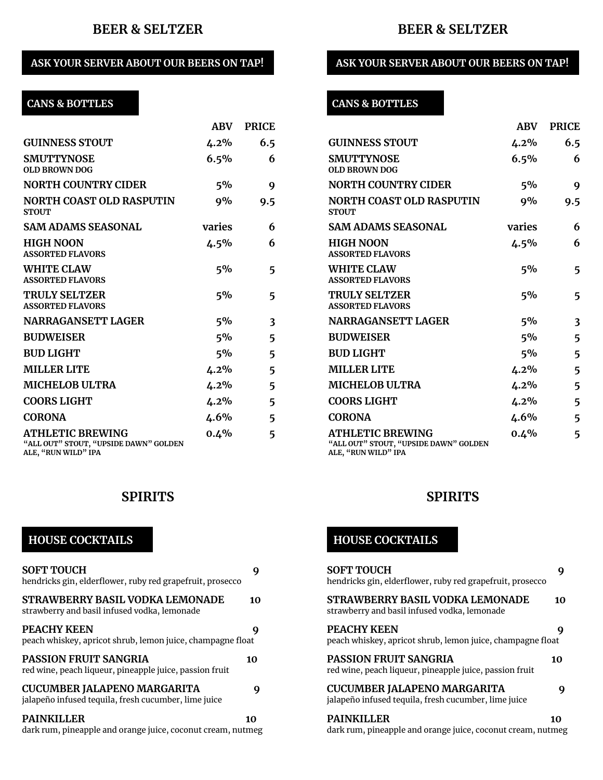## **BEER & SELTZER**

### **ASK YOUR SERVER ABOUT OUR BEERS ON TAP!**

# **CANS & BOTTLES**

|                                                                                         | ABV     | <b>PRICE</b> |
|-----------------------------------------------------------------------------------------|---------|--------------|
| <b>GUINNESS STOUT</b>                                                                   | $4.2\%$ | 6.5          |
| <b>SMUTTYNOSE</b><br><b>OLD BROWN DOG</b>                                               | 6.5%    | 6            |
| <b>NORTH COUNTRY CIDER</b>                                                              | 5%      | 9            |
| NORTH COAST OLD RASPUTIN<br><b>STOUT</b>                                                | $9\%$   | 9.5          |
| <b>SAM ADAMS SEASONAL</b>                                                               | varies  | 6            |
| <b>HIGH NOON</b><br><b>ASSORTED FLAVORS</b>                                             | $4.5\%$ | 6            |
| <b>WHITE CLAW</b><br><b>ASSORTED FLAVORS</b>                                            | $5\%$   | 5            |
| TRULY SELTZER<br><b>ASSORTED FLAVORS</b>                                                | $5\%$   | 5            |
| <b>NARRAGANSETT LAGER</b>                                                               | 5%      | 3            |
| <b>BUDWEISER</b>                                                                        | 5%      | 5            |
| <b>BUD LIGHT</b>                                                                        | $5\%$   | 5            |
| <b>MILLER LITE</b>                                                                      | 4.2%    | 5            |
| <b>MICHELOB ULTRA</b>                                                                   | 4.2%    | 5            |
| <b>COORS LIGHT</b>                                                                      | $4.2\%$ | 5            |
| <b>CORONA</b>                                                                           | $4.6\%$ | 5            |
| <b>ATHLETIC BREWING</b><br>"ALL OUT" STOUT, "UPSIDE DAWN" GOLDEN<br>ALE, "RUN WILD" IPA | $0.4\%$ | 5            |

### **SPIRITS**

### **HOUSE COCKTAILS**

| <b>SOFT TOUCH</b><br>hendricks gin, elderflower, ruby red grapefruit, prosecco             |    |
|--------------------------------------------------------------------------------------------|----|
| STRAWBERRY BASIL VODKA LEMONADE<br>strawberry and basil infused vodka, lemonade            | 10 |
| <b>PEACHY KEEN</b><br>peach whiskey, apricot shrub, lemon juice, champagne float           | g  |
| PASSION FRUIT SANGRIA<br>red wine, peach liqueur, pineapple juice, passion fruit           | 10 |
| <b>CUCUMBER JALAPENO MARGARITA</b><br>jalapeño infused tequila, fresh cucumber, lime juice | g  |
| PAINKILLER<br>dark rum, pineapple and orange juice, coconut cream, nutmeg                  | 10 |